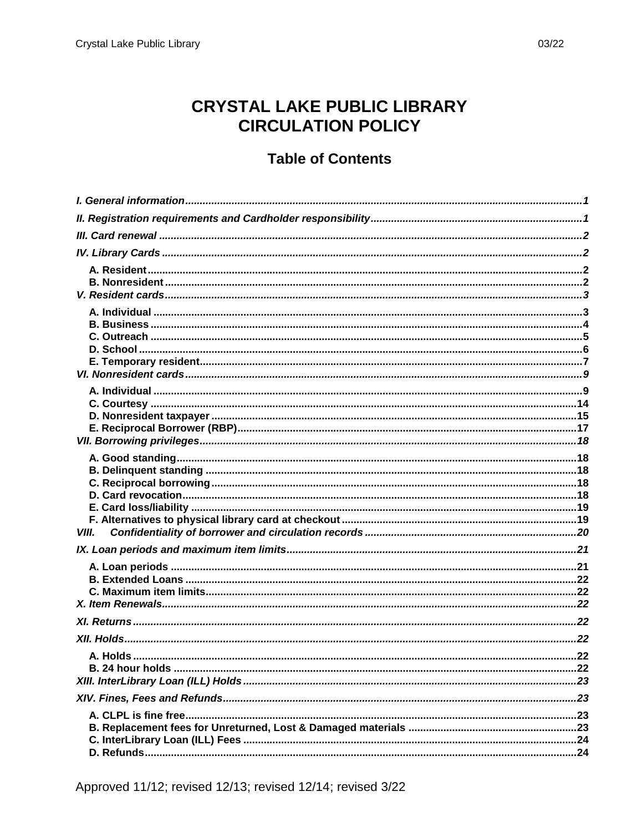## **CRYSTAL LAKE PUBLIC LIBRARY CIRCULATION POLICY**

## **Table of Contents**

| VIII. |  |
|-------|--|
|       |  |
|       |  |
|       |  |
|       |  |
|       |  |
|       |  |
|       |  |
|       |  |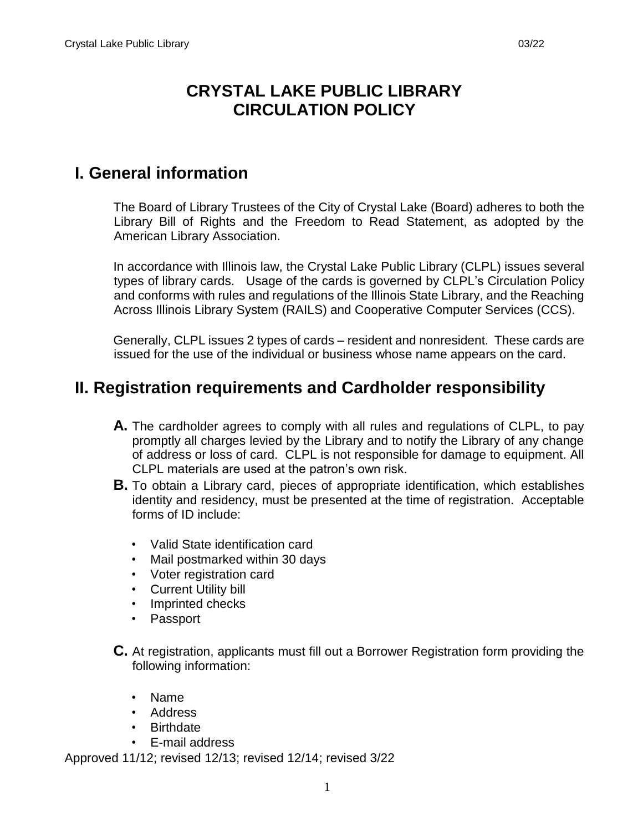## **CRYSTAL LAKE PUBLIC LIBRARY CIRCULATION POLICY**

# <span id="page-2-0"></span>**I. General information**

The Board of Library Trustees of the City of Crystal Lake (Board) adheres to both the Library Bill of Rights and the Freedom to Read Statement, as adopted by the American Library Association.

In accordance with Illinois law, the Crystal Lake Public Library (CLPL) issues several types of library cards. Usage of the cards is governed by CLPL's Circulation Policy and conforms with rules and regulations of the Illinois State Library, and the Reaching Across Illinois Library System (RAILS) and Cooperative Computer Services (CCS).

Generally, CLPL issues 2 types of cards – resident and nonresident. These cards are issued for the use of the individual or business whose name appears on the card.

## <span id="page-2-1"></span>**II. Registration requirements and Cardholder responsibility**

- **A.** The cardholder agrees to comply with all rules and regulations of CLPL, to pay promptly all charges levied by the Library and to notify the Library of any change of address or loss of card. CLPL is not responsible for damage to equipment. All CLPL materials are used at the patron's own risk.
- **B.** To obtain a Library card, pieces of appropriate identification, which establishes identity and residency, must be presented at the time of registration. Acceptable forms of ID include:
	- Valid State identification card
	- Mail postmarked within 30 days
	- Voter registration card
	- Current Utility bill
	- Imprinted checks
	- Passport
- **C.** At registration, applicants must fill out a Borrower Registration form providing the following information:
	- Name
	- Address
	- Birthdate
	- E-mail address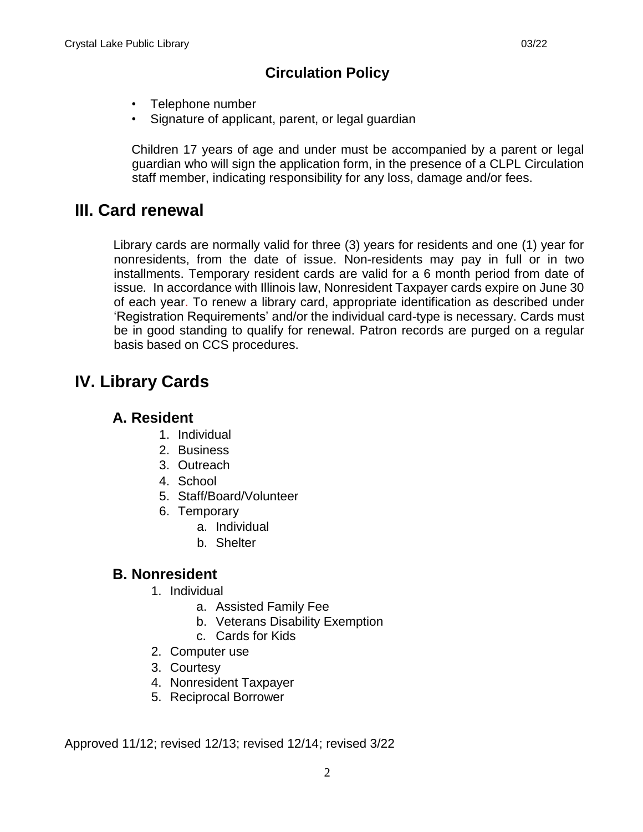- Telephone number
- Signature of applicant, parent, or legal guardian

Children 17 years of age and under must be accompanied by a parent or legal guardian who will sign the application form, in the presence of a CLPL Circulation staff member, indicating responsibility for any loss, damage and/or fees.

## <span id="page-3-0"></span>**III. Card renewal**

Library cards are normally valid for three (3) years for residents and one (1) year for nonresidents, from the date of issue. Non-residents may pay in full or in two installments. Temporary resident cards are valid for a 6 month period from date of issue*.* In accordance with Illinois law, Nonresident Taxpayer cards expire on June 30 of each year. To renew a library card, appropriate identification as described under 'Registration Requirements' and/or the individual card-type is necessary. Cards must be in good standing to qualify for renewal. Patron records are purged on a regular basis based on CCS procedures.

# <span id="page-3-2"></span><span id="page-3-1"></span>**IV. Library Cards**

#### **A. Resident**

- 1. Individual
- 2. Business
- 3. Outreach
- 4. School
- 5. Staff/Board/Volunteer
- 6. Temporary
	- a. Individual
	- b. Shelter

#### <span id="page-3-3"></span>**B. Nonresident**

- 1. Individual
	- a. Assisted Family Fee
	- b. Veterans Disability Exemption
	- c. Cards for Kids
- 2. Computer use
- 3. Courtesy
- 4. Nonresident Taxpayer
- 5. Reciprocal Borrower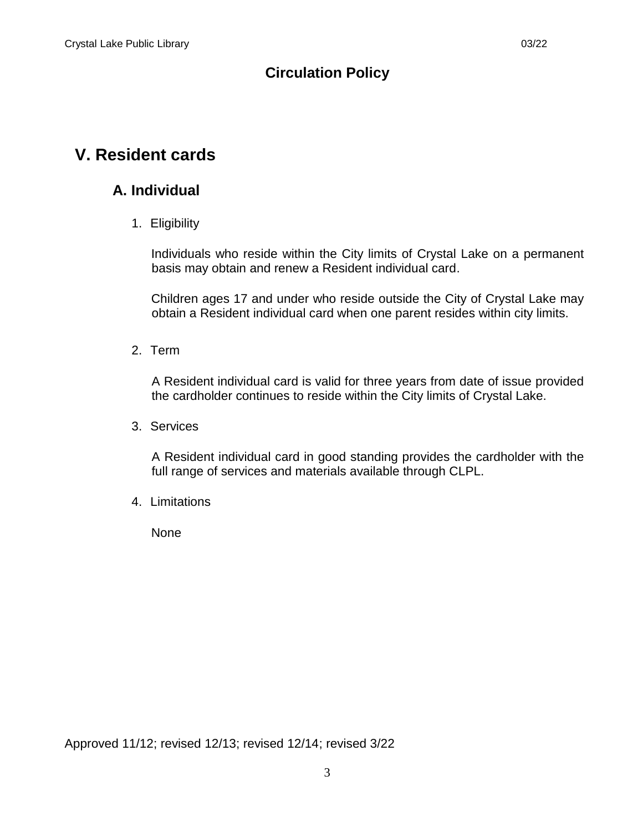## <span id="page-4-1"></span><span id="page-4-0"></span>**V. Resident cards**

#### **A. Individual**

1. Eligibility

Individuals who reside within the City limits of Crystal Lake on a permanent basis may obtain and renew a Resident individual card.

Children ages 17 and under who reside outside the City of Crystal Lake may obtain a Resident individual card when one parent resides within city limits.

2. Term

A Resident individual card is valid for three years from date of issue provided the cardholder continues to reside within the City limits of Crystal Lake.

3. Services

A Resident individual card in good standing provides the cardholder with the full range of services and materials available through CLPL.

4. Limitations

None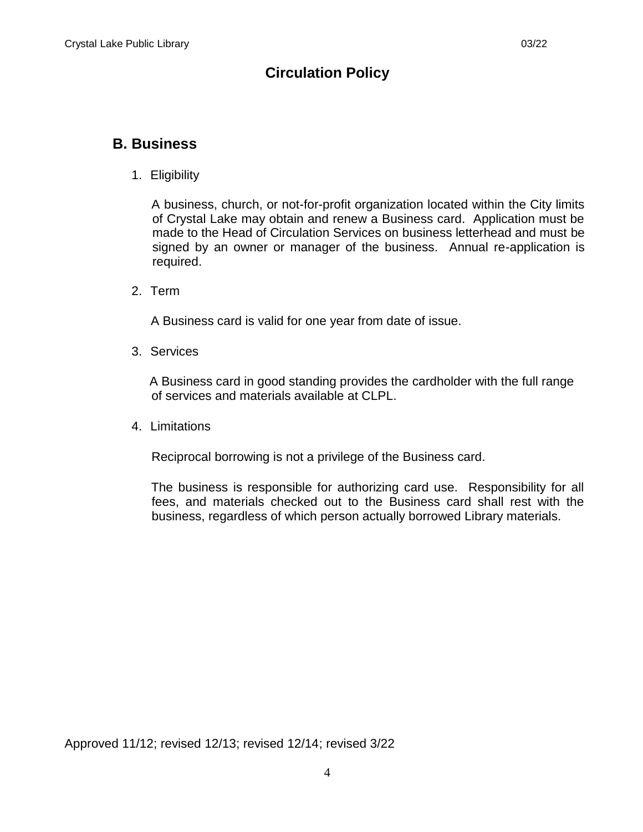#### <span id="page-5-0"></span>**B. Business**

1. Eligibility

A business, church, or not-for-profit organization located within the City limits of Crystal Lake may obtain and renew a Business card. Application must be made to the Head of Circulation Services on business letterhead and must be signed by an owner or manager of the business. Annual re-application is required.

2. Term

A Business card is valid for one year from date of issue.

3. Services

 A Business card in good standing provides the cardholder with the full range of services and materials available at CLPL.

4. Limitations

Reciprocal borrowing is not a privilege of the Business card.

The business is responsible for authorizing card use. Responsibility for all fees, and materials checked out to the Business card shall rest with the business, regardless of which person actually borrowed Library materials.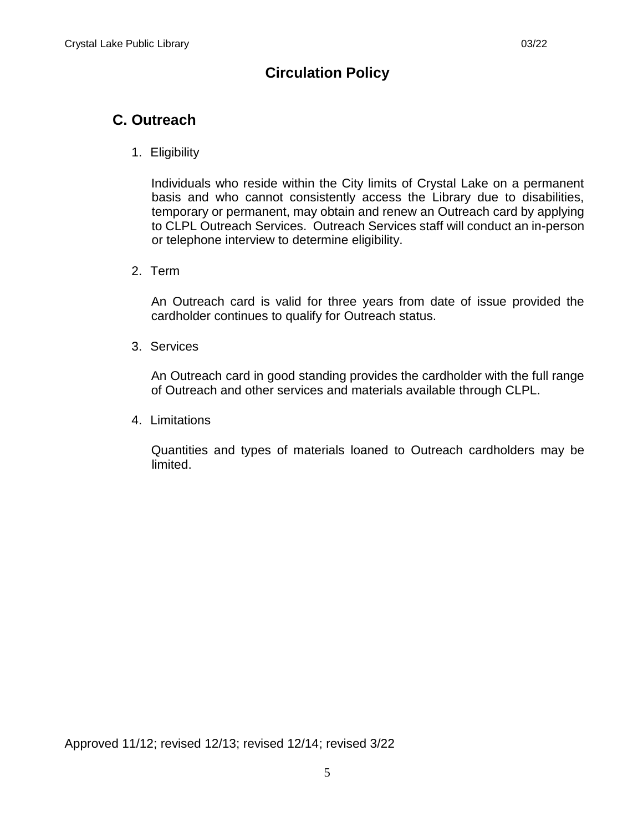## <span id="page-6-0"></span>**C. Outreach**

1. Eligibility

Individuals who reside within the City limits of Crystal Lake on a permanent basis and who cannot consistently access the Library due to disabilities, temporary or permanent, may obtain and renew an Outreach card by applying to CLPL Outreach Services. Outreach Services staff will conduct an in-person or telephone interview to determine eligibility.

2. Term

An Outreach card is valid for three years from date of issue provided the cardholder continues to qualify for Outreach status.

3. Services

An Outreach card in good standing provides the cardholder with the full range of Outreach and other services and materials available through CLPL.

4. Limitations

Quantities and types of materials loaned to Outreach cardholders may be limited.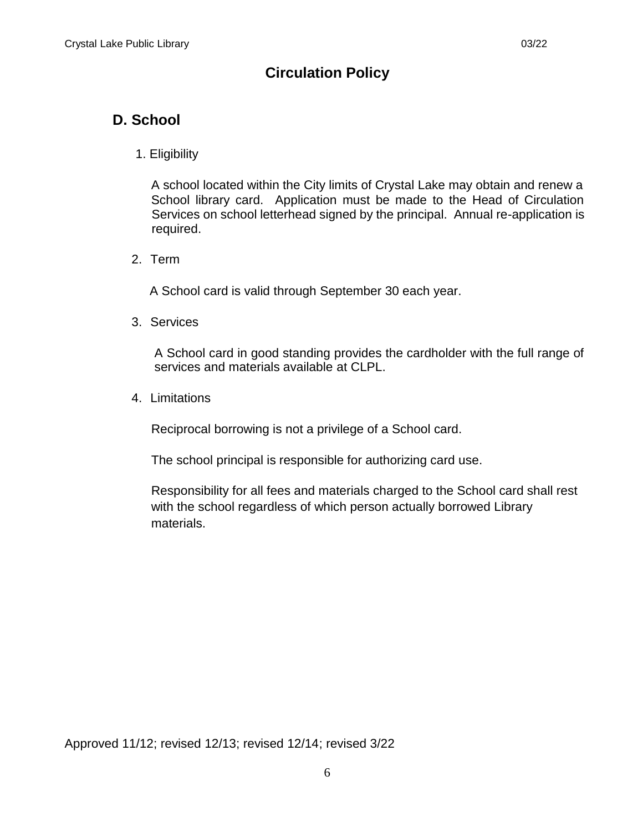## <span id="page-7-0"></span>**D. School**

1. Eligibility

A school located within the City limits of Crystal Lake may obtain and renew a School library card. Application must be made to the Head of Circulation Services on school letterhead signed by the principal. Annual re-application is required.

2. Term

A School card is valid through September 30 each year.

3. Services

A School card in good standing provides the cardholder with the full range of services and materials available at CLPL.

4. Limitations

Reciprocal borrowing is not a privilege of a School card.

The school principal is responsible for authorizing card use.

Responsibility for all fees and materials charged to the School card shall rest with the school regardless of which person actually borrowed Library materials.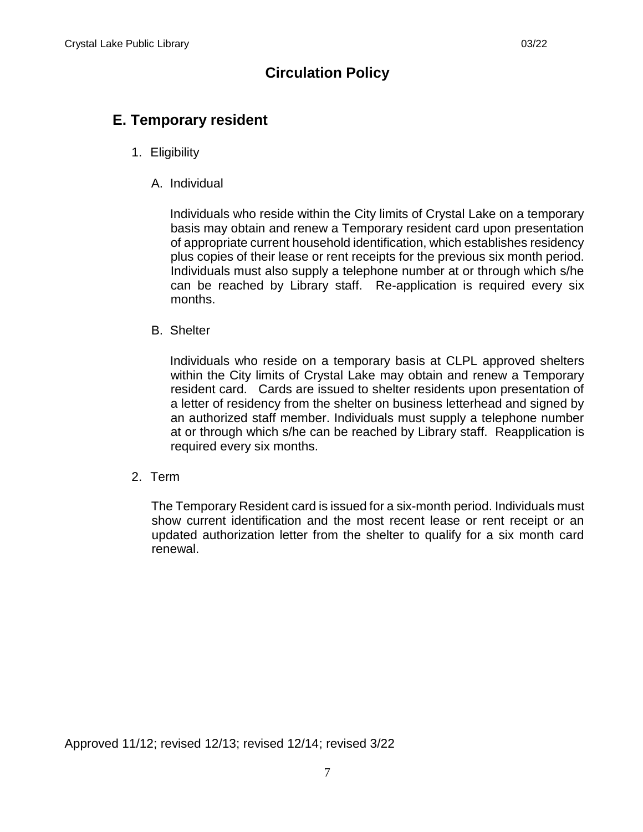#### <span id="page-8-0"></span>**E. Temporary resident**

- 1. Eligibility
	- A. Individual

Individuals who reside within the City limits of Crystal Lake on a temporary basis may obtain and renew a Temporary resident card upon presentation of appropriate current household identification, which establishes residency plus copies of their lease or rent receipts for the previous six month period. Individuals must also supply a telephone number at or through which s/he can be reached by Library staff. Re-application is required every six months.

B. Shelter

Individuals who reside on a temporary basis at CLPL approved shelters within the City limits of Crystal Lake may obtain and renew a Temporary resident card. Cards are issued to shelter residents upon presentation of a letter of residency from the shelter on business letterhead and signed by an authorized staff member. Individuals must supply a telephone number at or through which s/he can be reached by Library staff. Reapplication is required every six months.

2. Term

The Temporary Resident card is issued for a six-month period. Individuals must show current identification and the most recent lease or rent receipt or an updated authorization letter from the shelter to qualify for a six month card renewal.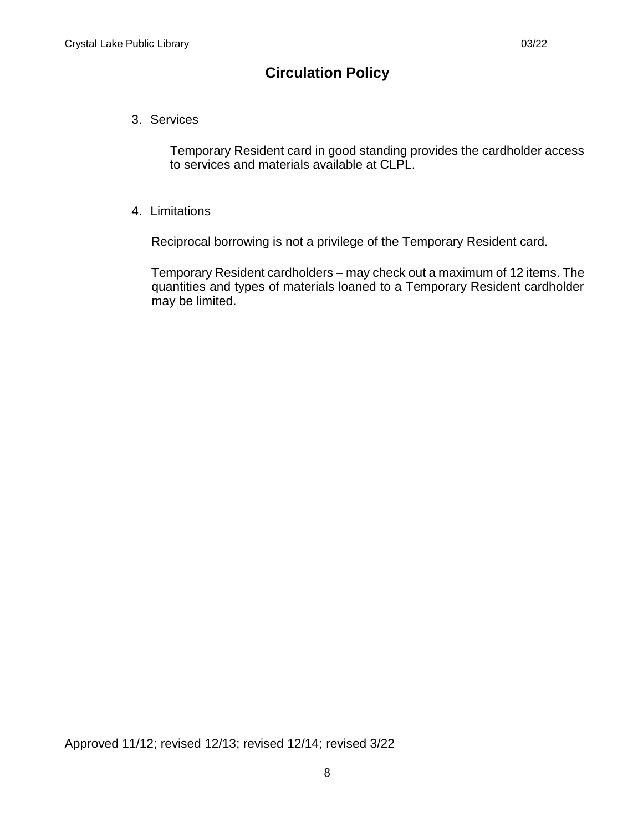3. Services

Temporary Resident card in good standing provides the cardholder access to services and materials available at CLPL.

4. Limitations

Reciprocal borrowing is not a privilege of the Temporary Resident card.

Temporary Resident cardholders – may check out a maximum of 12 items. The quantities and types of materials loaned to a Temporary Resident cardholder may be limited.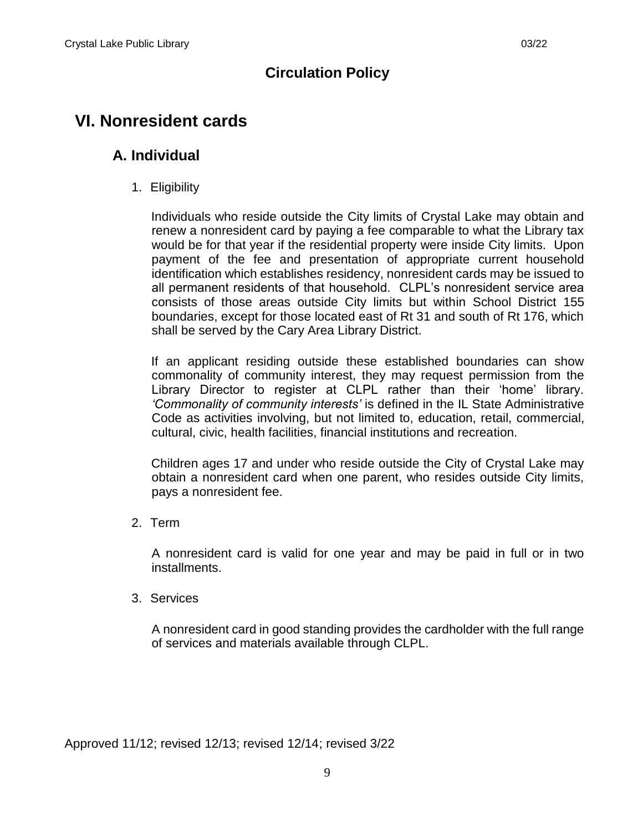## <span id="page-10-1"></span><span id="page-10-0"></span>**VI. Nonresident cards**

#### **A. Individual**

1. Eligibility

Individuals who reside outside the City limits of Crystal Lake may obtain and renew a nonresident card by paying a fee comparable to what the Library tax would be for that year if the residential property were inside City limits. Upon payment of the fee and presentation of appropriate current household identification which establishes residency, nonresident cards may be issued to all permanent residents of that household. CLPL's nonresident service area consists of those areas outside City limits but within School District 155 boundaries, except for those located east of Rt 31 and south of Rt 176, which shall be served by the Cary Area Library District.

If an applicant residing outside these established boundaries can show commonality of community interest, they may request permission from the Library Director to register at CLPL rather than their 'home' library. *'Commonality of community interests'* is defined in the IL State Administrative Code as activities involving, but not limited to, education, retail, commercial, cultural, civic, health facilities, financial institutions and recreation.

Children ages 17 and under who reside outside the City of Crystal Lake may obtain a nonresident card when one parent, who resides outside City limits, pays a nonresident fee.

2. Term

A nonresident card is valid for one year and may be paid in full or in two installments.

3. Services

A nonresident card in good standing provides the cardholder with the full range of services and materials available through CLPL.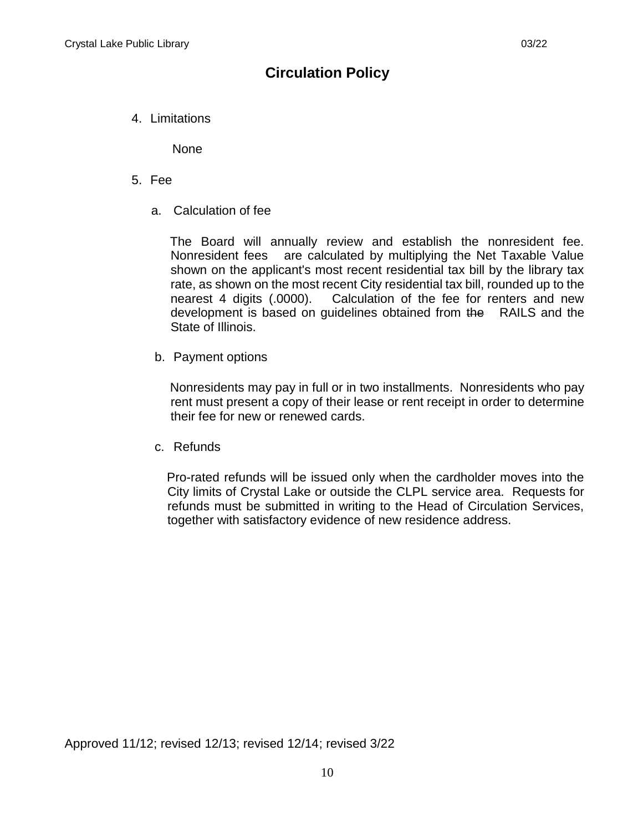4. Limitations

None

- 5. Fee
	- a. Calculation of fee

The Board will annually review and establish the nonresident fee. Nonresident fees are calculated by multiplying the Net Taxable Value shown on the applicant's most recent residential tax bill by the library tax rate, as shown on the most recent City residential tax bill, rounded up to the nearest 4 digits (.0000). Calculation of the fee for renters and new development is based on guidelines obtained from the RAILS and the State of Illinois.

b. Payment options

Nonresidents may pay in full or in two installments. Nonresidents who pay rent must present a copy of their lease or rent receipt in order to determine their fee for new or renewed cards.

c. Refunds

Pro-rated refunds will be issued only when the cardholder moves into the City limits of Crystal Lake or outside the CLPL service area. Requests for refunds must be submitted in writing to the Head of Circulation Services, together with satisfactory evidence of new residence address.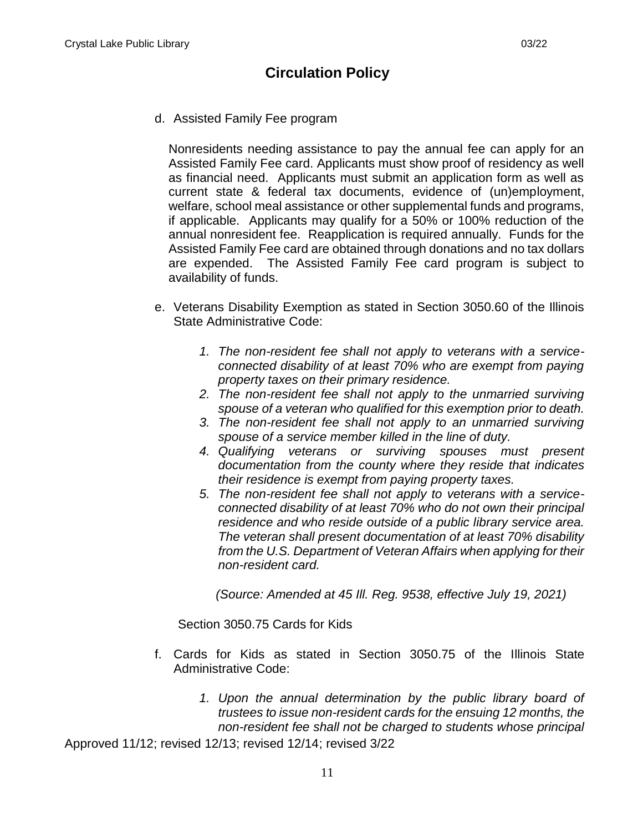d. Assisted Family Fee program

Nonresidents needing assistance to pay the annual fee can apply for an Assisted Family Fee card. Applicants must show proof of residency as well as financial need. Applicants must submit an application form as well as current state & federal tax documents, evidence of (un)employment, welfare, school meal assistance or other supplemental funds and programs, if applicable. Applicants may qualify for a 50% or 100% reduction of the annual nonresident fee. Reapplication is required annually. Funds for the Assisted Family Fee card are obtained through donations and no tax dollars are expended. The Assisted Family Fee card program is subject to availability of funds.

- e. Veterans Disability Exemption as stated in Section 3050.60 of the Illinois State Administrative Code:
	- *1. The non-resident fee shall not apply to veterans with a serviceconnected disability of at least 70% who are exempt from paying property taxes on their primary residence.*
	- *2. The non-resident fee shall not apply to the unmarried surviving spouse of a veteran who qualified for this exemption prior to death.*
	- *3. The non-resident fee shall not apply to an unmarried surviving spouse of a service member killed in the line of duty.*
	- *4. Qualifying veterans or surviving spouses must present documentation from the county where they reside that indicates their residence is exempt from paying property taxes.*
	- *5. The non-resident fee shall not apply to veterans with a serviceconnected disability of at least 70% who do not own their principal residence and who reside outside of a public library service area. The veteran shall present documentation of at least 70% disability from the U.S. Department of Veteran Affairs when applying for their non-resident card.*

*(Source: Amended at 45 Ill. Reg. 9538, effective July 19, 2021)*

Section 3050.75 Cards for Kids

- f. Cards for Kids as stated in Section 3050.75 of the Illinois State Administrative Code:
	- *1. Upon the annual determination by the public library board of trustees to issue non-resident cards for the ensuing 12 months, the non-resident fee shall not be charged to students whose principal*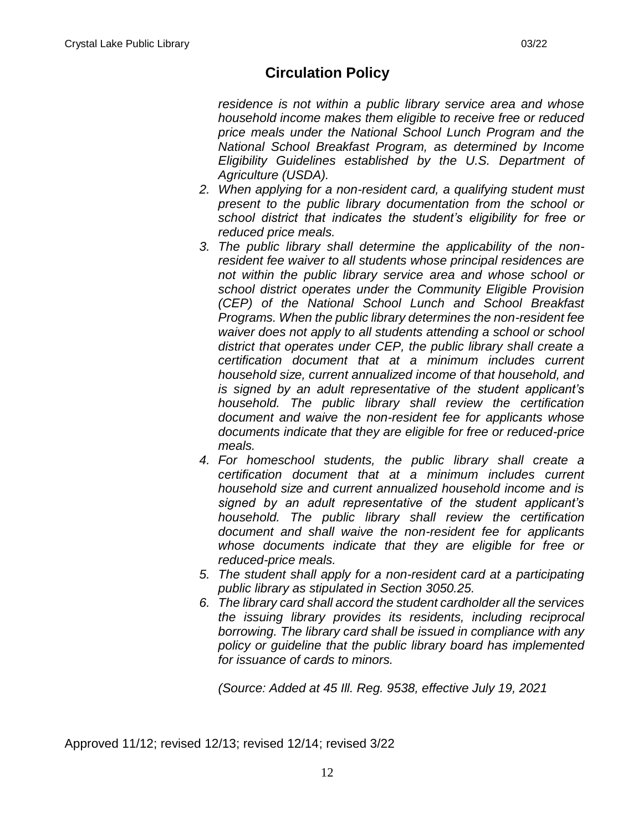*residence is not within a public library service area and whose household income makes them eligible to receive free or reduced price meals under the National School Lunch Program and the National School Breakfast Program, as determined by Income Eligibility Guidelines established by the U.S. Department of Agriculture (USDA).*

- *2. When applying for a non-resident card, a qualifying student must present to the public library documentation from the school or school district that indicates the student's eligibility for free or reduced price meals.*
- *3. The public library shall determine the applicability of the nonresident fee waiver to all students whose principal residences are not within the public library service area and whose school or school district operates under the Community Eligible Provision (CEP) of the National School Lunch and School Breakfast Programs. When the public library determines the non-resident fee waiver does not apply to all students attending a school or school district that operates under CEP, the public library shall create a certification document that at a minimum includes current household size, current annualized income of that household, and is signed by an adult representative of the student applicant's household. The public library shall review the certification document and waive the non-resident fee for applicants whose documents indicate that they are eligible for free or reduced-price meals.*
- *4. For homeschool students, the public library shall create a certification document that at a minimum includes current household size and current annualized household income and is signed by an adult representative of the student applicant's household. The public library shall review the certification document and shall waive the non-resident fee for applicants whose documents indicate that they are eligible for free or reduced-price meals.*
- *5. The student shall apply for a non-resident card at a participating public library as stipulated in Section 3050.25.*
- *6. The library card shall accord the student cardholder all the services the issuing library provides its residents, including reciprocal borrowing. The library card shall be issued in compliance with any policy or guideline that the public library board has implemented for issuance of cards to minors.*

*(Source: Added at 45 Ill. Reg. 9538, effective July 19, 2021*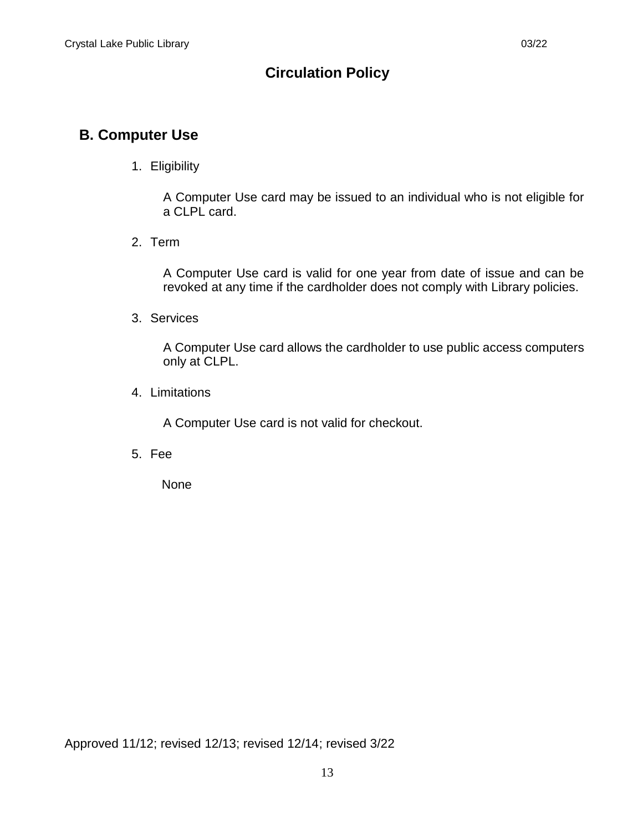## **B. Computer Use**

#### 1. Eligibility

A Computer Use card may be issued to an individual who is not eligible for a CLPL card.

2. Term

A Computer Use card is valid for one year from date of issue and can be revoked at any time if the cardholder does not comply with Library policies.

3. Services

A Computer Use card allows the cardholder to use public access computers only at CLPL.

4. Limitations

A Computer Use card is not valid for checkout.

5. Fee

None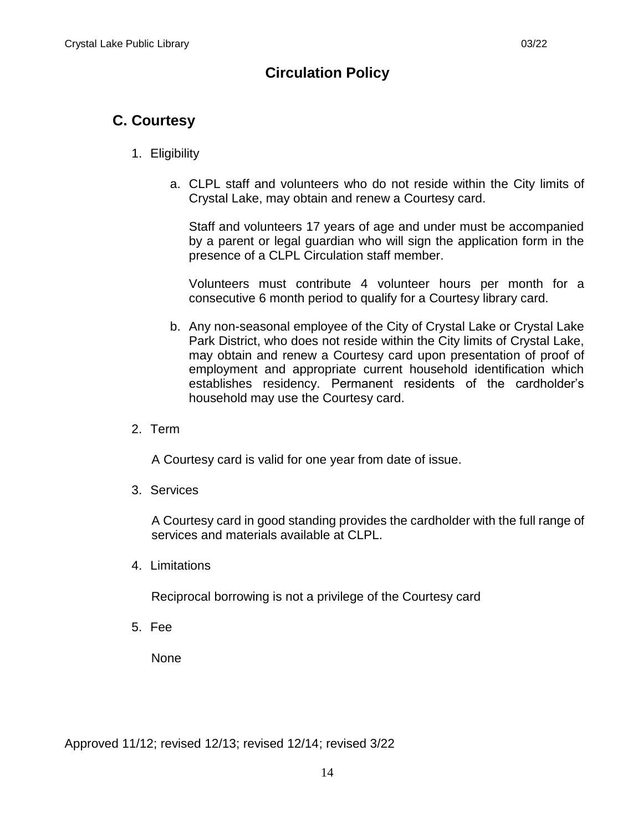## <span id="page-15-0"></span>**C. Courtesy**

#### 1. Eligibility

a. CLPL staff and volunteers who do not reside within the City limits of Crystal Lake, may obtain and renew a Courtesy card.

Staff and volunteers 17 years of age and under must be accompanied by a parent or legal guardian who will sign the application form in the presence of a CLPL Circulation staff member.

Volunteers must contribute 4 volunteer hours per month for a consecutive 6 month period to qualify for a Courtesy library card.

- b. Any non-seasonal employee of the City of Crystal Lake or Crystal Lake Park District, who does not reside within the City limits of Crystal Lake, may obtain and renew a Courtesy card upon presentation of proof of employment and appropriate current household identification which establishes residency. Permanent residents of the cardholder's household may use the Courtesy card.
- 2. Term

A Courtesy card is valid for one year from date of issue.

3. Services

A Courtesy card in good standing provides the cardholder with the full range of services and materials available at CLPL.

4. Limitations

Reciprocal borrowing is not a privilege of the Courtesy card

5. Fee

None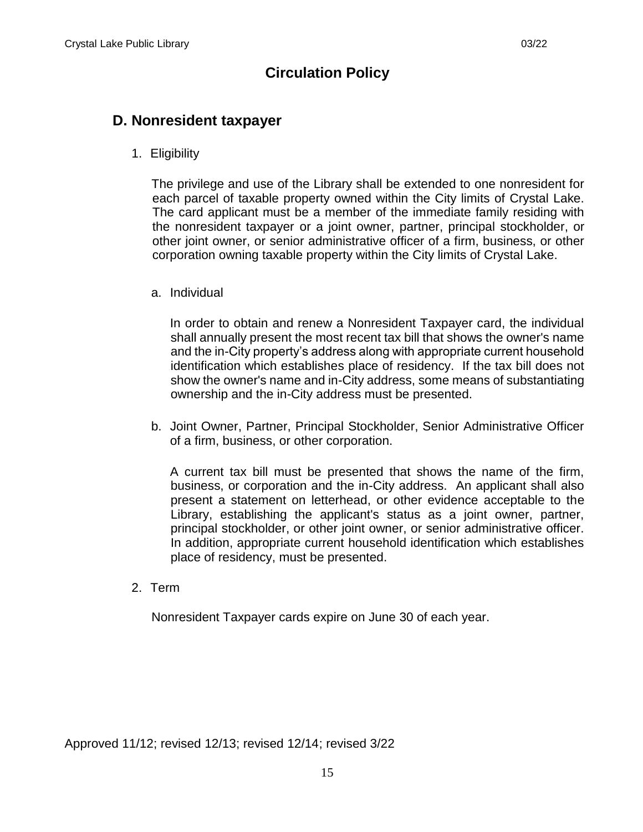#### <span id="page-16-0"></span>**D. Nonresident taxpayer**

1. Eligibility

The privilege and use of the Library shall be extended to one nonresident for each parcel of taxable property owned within the City limits of Crystal Lake. The card applicant must be a member of the immediate family residing with the nonresident taxpayer or a joint owner, partner, principal stockholder, or other joint owner, or senior administrative officer of a firm, business, or other corporation owning taxable property within the City limits of Crystal Lake.

a. Individual

In order to obtain and renew a Nonresident Taxpayer card, the individual shall annually present the most recent tax bill that shows the owner's name and the in-City property's address along with appropriate current household identification which establishes place of residency. If the tax bill does not show the owner's name and in-City address, some means of substantiating ownership and the in-City address must be presented.

b. Joint Owner, Partner, Principal Stockholder, Senior Administrative Officer of a firm, business, or other corporation.

A current tax bill must be presented that shows the name of the firm, business, or corporation and the in-City address. An applicant shall also present a statement on letterhead, or other evidence acceptable to the Library, establishing the applicant's status as a joint owner, partner, principal stockholder, or other joint owner, or senior administrative officer. In addition, appropriate current household identification which establishes place of residency, must be presented.

2. Term

Nonresident Taxpayer cards expire on June 30 of each year.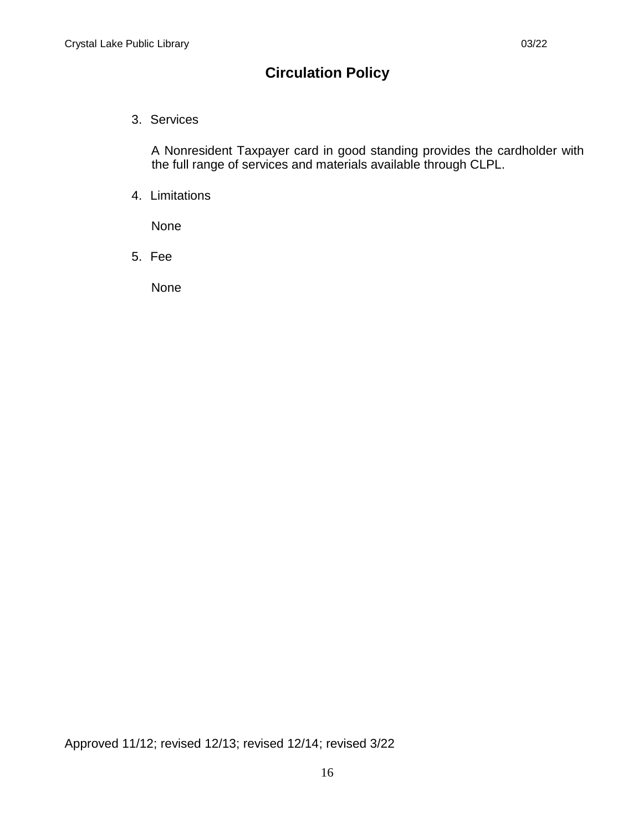3. Services

A Nonresident Taxpayer card in good standing provides the cardholder with the full range of services and materials available through CLPL.

4. Limitations

None

5. Fee

None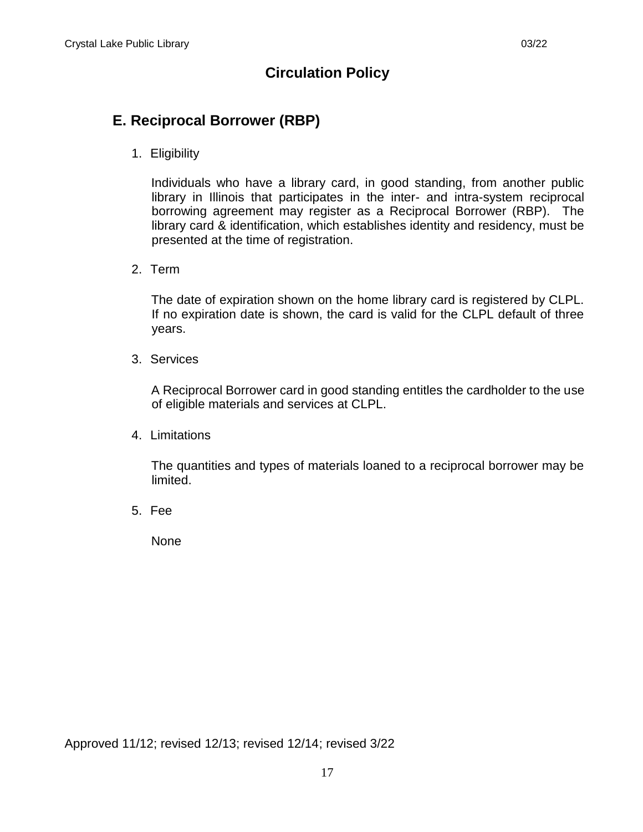### <span id="page-18-0"></span>**E. Reciprocal Borrower (RBP)**

1. Eligibility

Individuals who have a library card, in good standing, from another public library in Illinois that participates in the inter- and intra-system reciprocal borrowing agreement may register as a Reciprocal Borrower (RBP). The library card & identification, which establishes identity and residency, must be presented at the time of registration.

2. Term

The date of expiration shown on the home library card is registered by CLPL. If no expiration date is shown, the card is valid for the CLPL default of three years.

3. Services

A Reciprocal Borrower card in good standing entitles the cardholder to the use of eligible materials and services at CLPL.

4. Limitations

The quantities and types of materials loaned to a reciprocal borrower may be limited.

5. Fee

None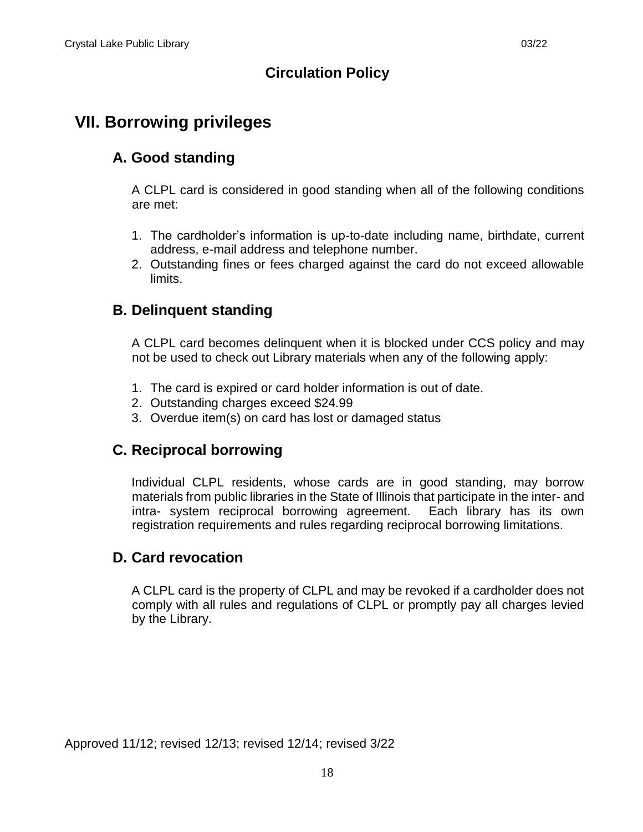## <span id="page-19-1"></span><span id="page-19-0"></span>**VII. Borrowing privileges**

## **A. Good standing**

A CLPL card is considered in good standing when all of the following conditions are met:

- 1. The cardholder's information is up-to-date including name, birthdate, current address, e-mail address and telephone number.
- 2. Outstanding fines or fees charged against the card do not exceed allowable limits.

## <span id="page-19-2"></span>**B. Delinquent standing**

A CLPL card becomes delinquent when it is blocked under CCS policy and may not be used to check out Library materials when any of the following apply:

- 1. The card is expired or card holder information is out of date.
- 2. Outstanding charges exceed \$24.99
- 3. Overdue item(s) on card has lost or damaged status

## <span id="page-19-3"></span>**C. Reciprocal borrowing**

Individual CLPL residents, whose cards are in good standing, may borrow materials from public libraries in the State of Illinois that participate in the inter- and intra- system reciprocal borrowing agreement. Each library has its own registration requirements and rules regarding reciprocal borrowing limitations.

#### <span id="page-19-4"></span>**D. Card revocation**

A CLPL card is the property of CLPL and may be revoked if a cardholder does not comply with all rules and regulations of CLPL or promptly pay all charges levied by the Library.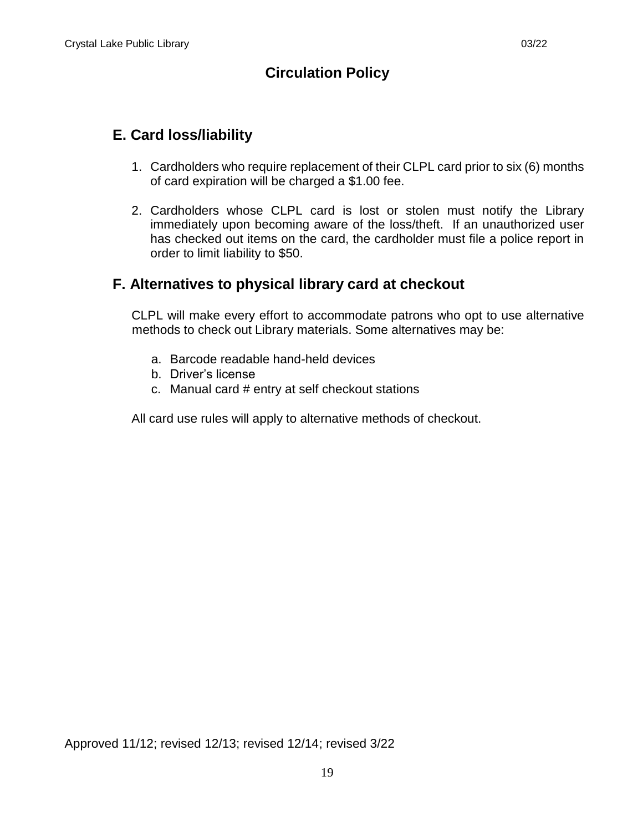## <span id="page-20-0"></span>**E. Card loss/liability**

- 1. Cardholders who require replacement of their CLPL card prior to six (6) months of card expiration will be charged a \$1.00 fee.
- 2. Cardholders whose CLPL card is lost or stolen must notify the Library immediately upon becoming aware of the loss/theft. If an unauthorized user has checked out items on the card, the cardholder must file a police report in order to limit liability to \$50.

#### <span id="page-20-1"></span>**F. Alternatives to physical library card at checkout**

CLPL will make every effort to accommodate patrons who opt to use alternative methods to check out Library materials. Some alternatives may be:

- a. Barcode readable hand-held devices
- b. Driver's license
- c. Manual card # entry at self checkout stations

All card use rules will apply to alternative methods of checkout.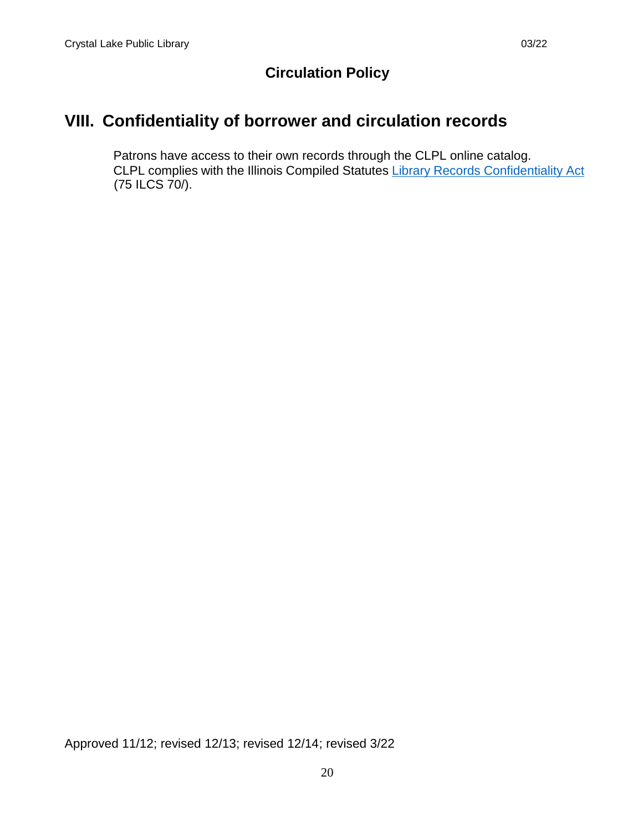## <span id="page-21-0"></span>**VIII. Confidentiality of borrower and circulation records**

Patrons have access to their own records through the CLPL online catalog. CLPL complies with the Illinois Compiled Statutes [Library Records Confidentiality Act](https://www.ilga.gov/legislation/ilcs/ilcs3.asp?ActID=1004&ChapterID=16) (75 ILCS 70/).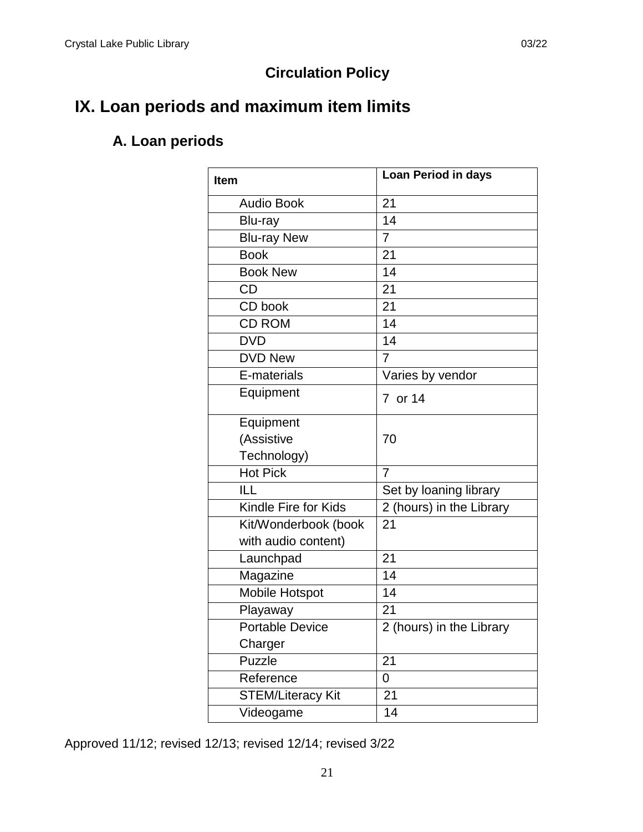# <span id="page-22-1"></span><span id="page-22-0"></span>**IX. Loan periods and maximum item limits**

## **A. Loan periods**

| <b>Item</b>              | Loan Period in days      |  |  |
|--------------------------|--------------------------|--|--|
| <b>Audio Book</b>        | 21                       |  |  |
| Blu-ray                  | 14                       |  |  |
| <b>Blu-ray New</b>       | $\overline{7}$           |  |  |
| <b>Book</b>              | 21                       |  |  |
| <b>Book New</b>          | 14                       |  |  |
| <b>CD</b>                | 21                       |  |  |
| CD book                  | 21                       |  |  |
| <b>CD ROM</b>            | 14                       |  |  |
| <b>DVD</b>               | 14                       |  |  |
| <b>DVD New</b>           | 7                        |  |  |
| E-materials              | Varies by vendor         |  |  |
| Equipment                | 7 or 14                  |  |  |
| Equipment                |                          |  |  |
| (Assistive               | 70                       |  |  |
| Technology)              |                          |  |  |
| Hot Pick                 | $\overline{7}$           |  |  |
| ILL                      | Set by loaning library   |  |  |
| Kindle Fire for Kids     | 2 (hours) in the Library |  |  |
| Kit/Wonderbook (book     | 21                       |  |  |
| with audio content)      |                          |  |  |
| Launchpad                | 21                       |  |  |
| Magazine                 | 14                       |  |  |
| Mobile Hotspot           | 14                       |  |  |
| Playaway                 | 21                       |  |  |
| <b>Portable Device</b>   | 2 (hours) in the Library |  |  |
| Charger                  |                          |  |  |
| Puzzle                   | 21                       |  |  |
| Reference                | 0                        |  |  |
| <b>STEM/Literacy Kit</b> | 21                       |  |  |
| Videogame                | 14                       |  |  |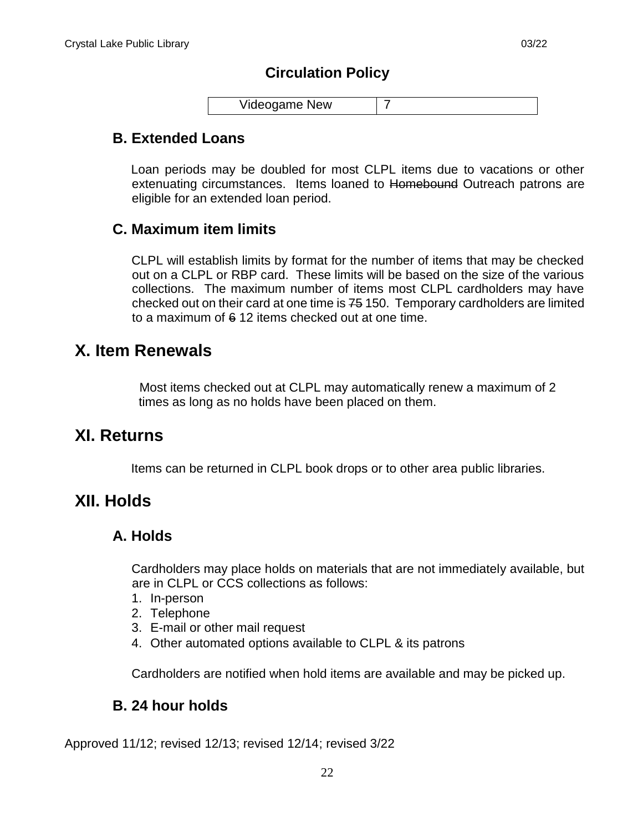| Videogame New |  |
|---------------|--|
|               |  |

#### <span id="page-23-0"></span>**B. Extended Loans**

Loan periods may be doubled for most CLPL items due to vacations or other extenuating circumstances. Items loaned to Homebound Outreach patrons are eligible for an extended loan period.

#### <span id="page-23-1"></span>**C. Maximum item limits**

CLPL will establish limits by format for the number of items that may be checked out on a CLPL or RBP card. These limits will be based on the size of the various collections. The maximum number of items most CLPL cardholders may have checked out on their card at one time is 75 150. Temporary cardholders are limited to a maximum of 6 12 items checked out at one time.

## <span id="page-23-2"></span>**X. Item Renewals**

Most items checked out at CLPL may automatically renew a maximum of 2 times as long as no holds have been placed on them.

## <span id="page-23-3"></span>**XI. Returns**

Items can be returned in CLPL book drops or to other area public libraries.

## <span id="page-23-5"></span><span id="page-23-4"></span>**XII. Holds**

#### **A. Holds**

Cardholders may place holds on materials that are not immediately available, but are in CLPL or CCS collections as follows:

- 1. In-person
- 2. Telephone
- 3. E-mail or other mail request
- 4. Other automated options available to CLPL & its patrons

Cardholders are notified when hold items are available and may be picked up.

#### <span id="page-23-6"></span>**B. 24 hour holds**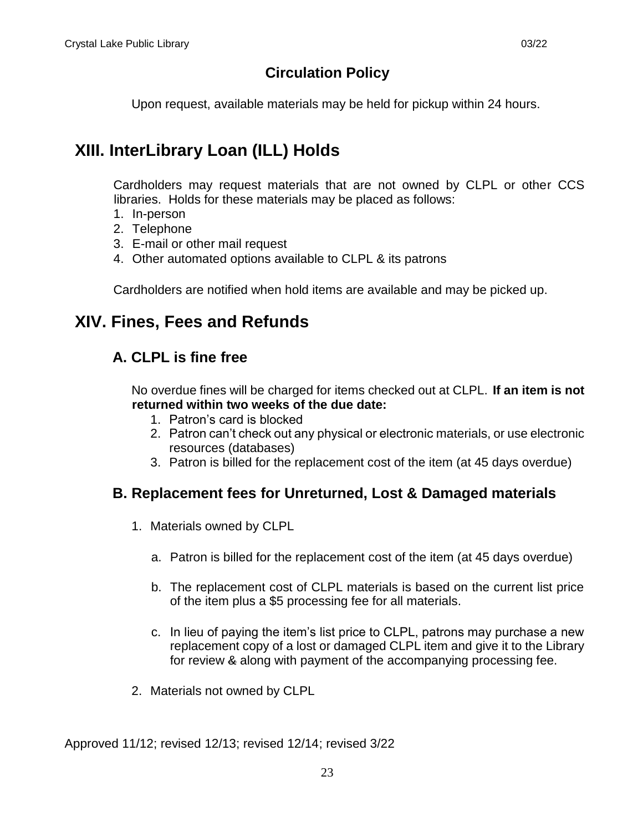Upon request, available materials may be held for pickup within 24 hours.

# <span id="page-24-0"></span>**XIII. InterLibrary Loan (ILL) Holds**

Cardholders may request materials that are not owned by CLPL or other CCS libraries. Holds for these materials may be placed as follows:

- 1. In-person
- 2. Telephone
- 3. E-mail or other mail request
- 4. Other automated options available to CLPL & its patrons

Cardholders are notified when hold items are available and may be picked up.

## <span id="page-24-2"></span><span id="page-24-1"></span>**XIV. Fines, Fees and Refunds**

#### **A. CLPL is fine free**

No overdue fines will be charged for items checked out at CLPL. **If an item is not returned within two weeks of the due date:**

- 1. Patron's card is blocked
- 2. Patron can't check out any physical or electronic materials, or use electronic resources (databases)
- 3. Patron is billed for the replacement cost of the item (at 45 days overdue)

#### <span id="page-24-3"></span>**B. Replacement fees for Unreturned, Lost & Damaged materials**

- 1. Materials owned by CLPL
	- a. Patron is billed for the replacement cost of the item (at 45 days overdue)
	- b. The replacement cost of CLPL materials is based on the current list price of the item plus a \$5 processing fee for all materials.
	- c. In lieu of paying the item's list price to CLPL, patrons may purchase a new replacement copy of a lost or damaged CLPL item and give it to the Library for review & along with payment of the accompanying processing fee.
- 2. Materials not owned by CLPL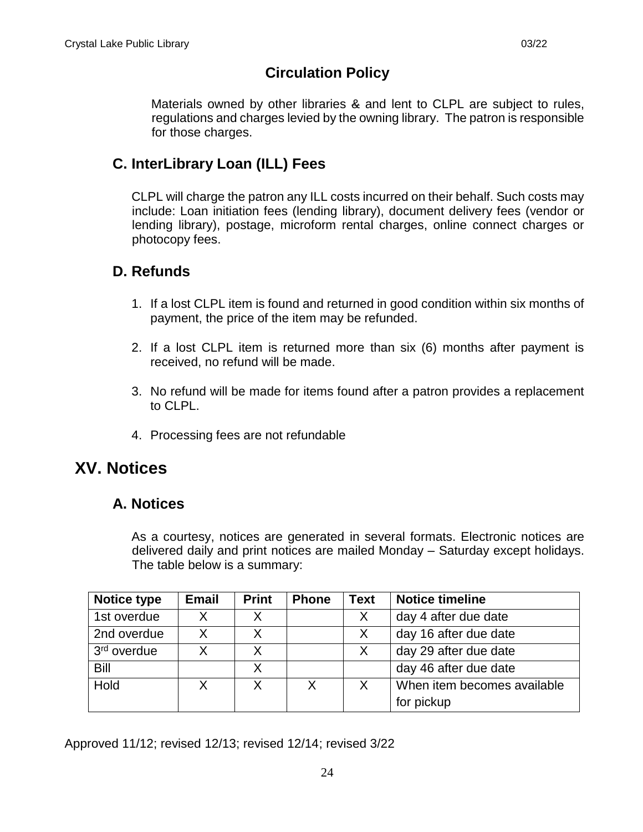Materials owned by other libraries & and lent to CLPL are subject to rules, regulations and charges levied by the owning library. The patron is responsible for those charges.

#### <span id="page-25-0"></span>**C. InterLibrary Loan (ILL) Fees**

CLPL will charge the patron any ILL costs incurred on their behalf. Such costs may include: Loan initiation fees (lending library), document delivery fees (vendor or lending library), postage, microform rental charges, online connect charges or photocopy fees.

#### <span id="page-25-1"></span>**D. Refunds**

- 1. If a lost CLPL item is found and returned in good condition within six months of payment, the price of the item may be refunded.
- 2. If a lost CLPL item is returned more than six (6) months after payment is received, no refund will be made.
- 3. No refund will be made for items found after a patron provides a replacement to CLPL.
- 4. Processing fees are not refundable

## <span id="page-25-3"></span><span id="page-25-2"></span>**XV. Notices**

#### **A. Notices**

As a courtesy, notices are generated in several formats. Electronic notices are delivered daily and print notices are mailed Monday – Saturday except holidays. The table below is a summary:

| <b>Notice type</b>      | <b>Email</b> | <b>Print</b> | <b>Phone</b> | Text     | <b>Notice timeline</b>      |
|-------------------------|--------------|--------------|--------------|----------|-----------------------------|
| 1st overdue             | X.           | X.           |              | X.       | day 4 after due date        |
| 2nd overdue             | X            | X            |              | $\times$ | day 16 after due date       |
| 3 <sup>rd</sup> overdue | x            | X            |              | X.       | day 29 after due date       |
| Bill                    |              | Χ            |              |          | day 46 after due date       |
| Hold                    |              | X            | Χ            | X        | When item becomes available |
|                         |              |              |              |          | for pickup                  |